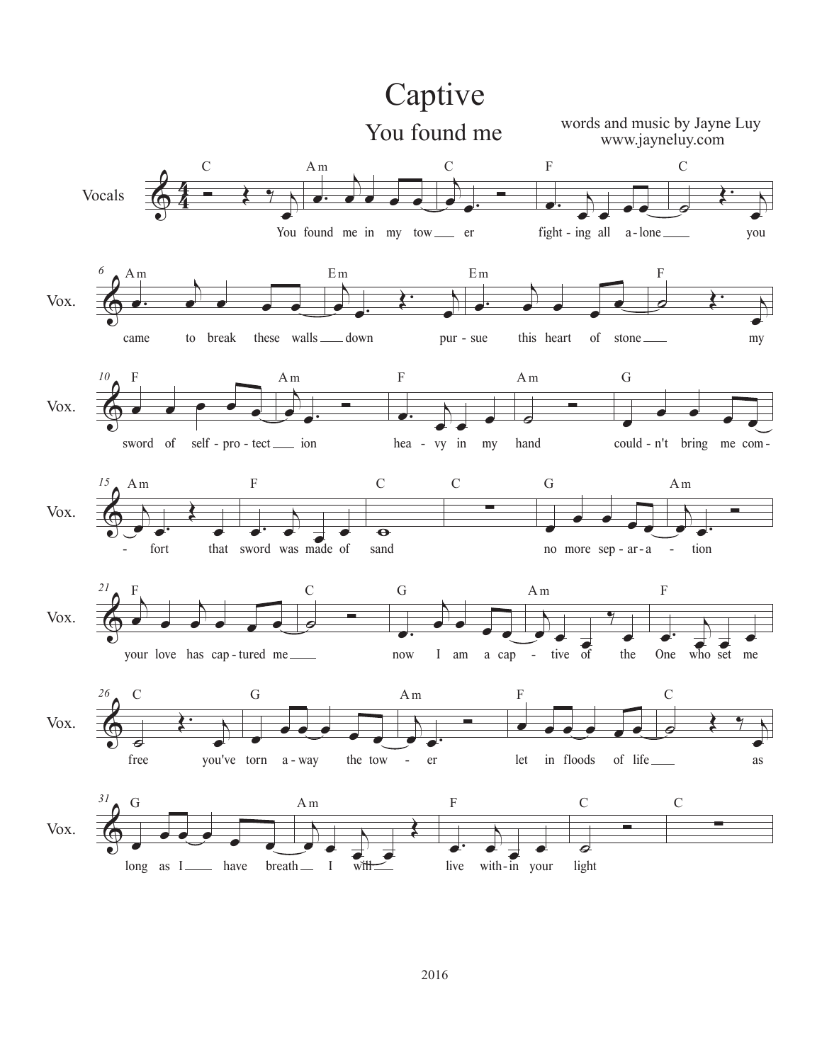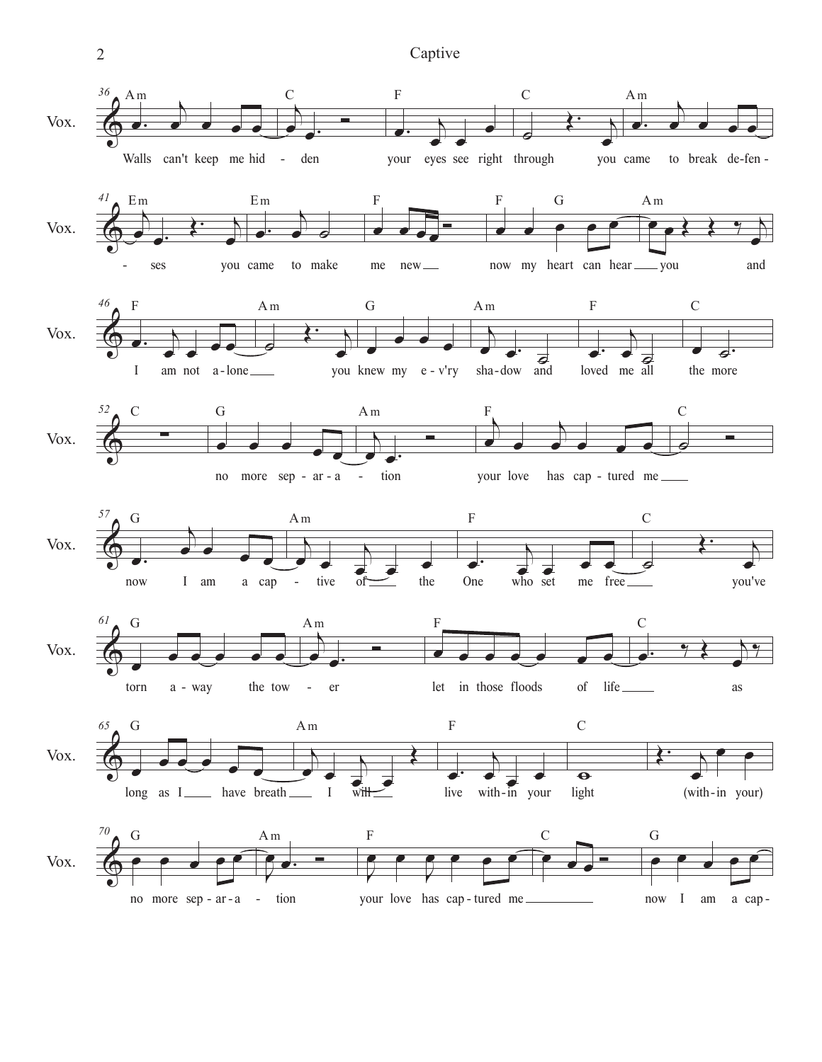2 Captive